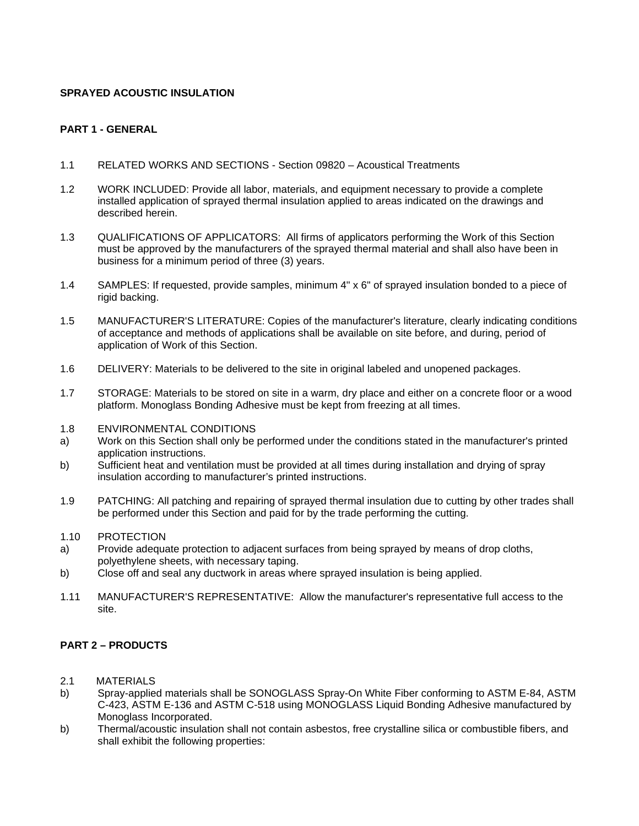### **SPRAYED ACOUSTIC INSULATION**

### **PART 1 - GENERAL**

- 1.1 RELATED WORKS AND SECTIONS Section 09820 Acoustical Treatments
- 1.2 WORK INCLUDED: Provide all labor, materials, and equipment necessary to provide a complete installed application of sprayed thermal insulation applied to areas indicated on the drawings and described herein.
- 1.3 QUALIFICATIONS OF APPLICATORS: All firms of applicators performing the Work of this Section must be approved by the manufacturers of the sprayed thermal material and shall also have been in business for a minimum period of three (3) years.
- 1.4 SAMPLES: If requested, provide samples, minimum 4" x 6" of sprayed insulation bonded to a piece of rigid backing.
- 1.5 MANUFACTURER'S LITERATURE: Copies of the manufacturer's literature, clearly indicating conditions of acceptance and methods of applications shall be available on site before, and during, period of application of Work of this Section.
- 1.6 DELIVERY: Materials to be delivered to the site in original labeled and unopened packages.
- 1.7 STORAGE: Materials to be stored on site in a warm, dry place and either on a concrete floor or a wood platform. Monoglass Bonding Adhesive must be kept from freezing at all times.
- 1.8 ENVIRONMENTAL CONDITIONS
- a) Work on this Section shall only be performed under the conditions stated in the manufacturer's printed application instructions.
- b) Sufficient heat and ventilation must be provided at all times during installation and drying of spray insulation according to manufacturer's printed instructions.
- 1.9 PATCHING: All patching and repairing of sprayed thermal insulation due to cutting by other trades shall be performed under this Section and paid for by the trade performing the cutting.
- 1.10 PROTECTION
- a) Provide adequate protection to adjacent surfaces from being sprayed by means of drop cloths, polyethylene sheets, with necessary taping.
- b) Close off and seal any ductwork in areas where sprayed insulation is being applied.
- 1.11 MANUFACTURER'S REPRESENTATIVE: Allow the manufacturer's representative full access to the site.

## **PART 2 – PRODUCTS**

- 2.1 MATERIALS
- b) Spray-applied materials shall be SONOGLASS Spray-On White Fiber conforming to ASTM E-84, ASTM C-423, ASTM E-136 and ASTM C-518 using MONOGLASS Liquid Bonding Adhesive manufactured by Monoglass Incorporated.
- b) Thermal/acoustic insulation shall not contain asbestos, free crystalline silica or combustible fibers, and shall exhibit the following properties: